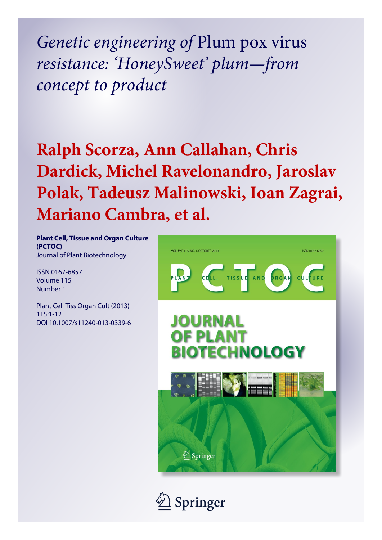*Genetic engineering of* Plum pox virus *resistance: 'HoneySweet' plum—from concept to product*

# **Ralph Scorza, Ann Callahan, Chris Dardick, Michel Ravelonandro, Jaroslav Polak, Tadeusz Malinowski, Ioan Zagrai, Mariano Cambra, et al.**

**Plant Cell, Tissue and Organ Culture (PCTOC)** Journal of Plant Biotechnology

ISSN 0167-6857 Volume 115 Number 1

Plant Cell Tiss Organ Cult (2013) 115:1-12 DOI 10.1007/s11240-013-0339-6



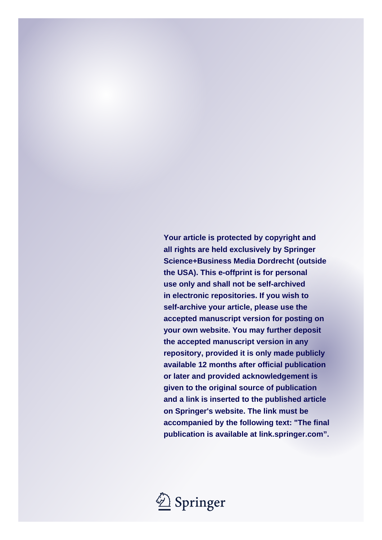**Your article is protected by copyright and all rights are held exclusively by Springer Science+Business Media Dordrecht (outside the USA). This e-offprint is for personal use only and shall not be self-archived in electronic repositories. If you wish to self-archive your article, please use the accepted manuscript version for posting on your own website. You may further deposit the accepted manuscript version in any repository, provided it is only made publicly available 12 months after official publication or later and provided acknowledgement is given to the original source of publication and a link is inserted to the published article on Springer's website. The link must be accompanied by the following text: "The final publication is available at link.springer.com".**

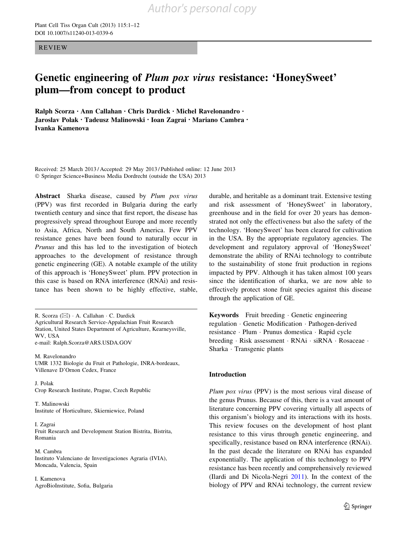REVIEW

### Genetic engineering of Plum pox virus resistance: 'HoneySweet' plum—from concept to product

Ralph Scorza • Ann Callahan • Chris Dardick • Michel Ravelonandro • Jaroslav Polak • Tadeusz Malinowski • Ioan Zagrai • Mariano Cambra • Ivanka Kamenova

Received: 25 March 2013 / Accepted: 29 May 2013 / Published online: 12 June 2013 © Springer Science+Business Media Dordrecht (outside the USA) 2013

Abstract Sharka disease, caused by Plum pox virus (PPV) was first recorded in Bulgaria during the early twentieth century and since that first report, the disease has progressively spread throughout Europe and more recently to Asia, Africa, North and South America. Few PPV resistance genes have been found to naturally occur in Prunus and this has led to the investigation of biotech approaches to the development of resistance through genetic engineering (GE). A notable example of the utility of this approach is 'HoneySweet' plum. PPV protection in this case is based on RNA interference (RNAi) and resistance has been shown to be highly effective, stable,

R. Scorza (⊠) · A. Callahan · C. Dardick Agricultural Research Service-Appalachian Fruit Research Station, United States Department of Agriculture, Kearneysville, WV, USA e-mail: Ralph.Scorza@ARS.USDA.GOV

M. Ravelonandro UMR 1332 Biologie du Fruit et Pathologie, INRA-bordeaux, Villenave D'Ornon Cedex, France

J. Polak Crop Research Institute, Prague, Czech Republic

T. Malinowski Institute of Horticulture, Skierniewice, Poland

I. Zagrai Fruit Research and Development Station Bistrita, Bistrita, Romania

M. Cambra Instituto Valenciano de Investigaciones Agraria (IVIA), Moncada, Valencia, Spain

I. Kamenova AgroBioInstitute, Sofia, Bulgaria

durable, and heritable as a dominant trait. Extensive testing and risk assessment of 'HoneySweet' in laboratory, greenhouse and in the field for over 20 years has demonstrated not only the effectiveness but also the safety of the technology. 'HoneySweet' has been cleared for cultivation in the USA. By the appropriate regulatory agencies. The development and regulatory approval of 'HoneySweet' demonstrate the ability of RNAi technology to contribute to the sustainability of stone fruit production in regions impacted by PPV. Although it has taken almost 100 years since the identification of sharka, we are now able to effectively protect stone fruit species against this disease through the application of GE.

Keywords Fruit breeding - Genetic engineering regulation - Genetic Modification - Pathogen-derived resistance - Plum - Prunus domestica - Rapid cycle breeding · Risk assessment · RNAi · siRNA · Rosaceae · Sharka - Transgenic plants

#### Introduction

Plum pox virus (PPV) is the most serious viral disease of the genus Prunus. Because of this, there is a vast amount of literature concerning PPV covering virtually all aspects of this organism's biology and its interactions with its hosts. This review focuses on the development of host plant resistance to this virus through genetic engineering, and specifically, resistance based on RNA interference (RNAi). In the past decade the literature on RNAi has expanded exponentially. The application of this technology to PPV resistance has been recently and comprehensively reviewed (Ilardi and Di Nicola-Negri [2011\)](#page-10-0). In the context of the biology of PPV and RNAi technology, the current review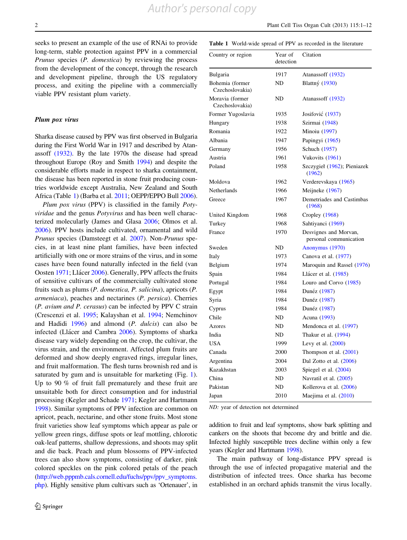*Author's personal copy*

seeks to present an example of the use of RNAi to provide long-term, stable protection against PPV in a commercial Prunus species (P. domestica) by reviewing the process from the development of the concept, through the research and development pipeline, through the US regulatory process, and exiting the pipeline with a commercially viable PPV resistant plum variety.

#### Plum pox virus

Sharka disease caused by PPV was first observed in Bulgaria during the First World War in 1917 and described by Atanassoff [\(1932\)](#page-9-0). By the late 1970s the disease had spread throughout Europe (Roy and Smith [1994\)](#page-12-0) and despite the considerable efforts made in respect to sharka containment, the disease has been reported in stone fruit producing countries worldwide except Australia, New Zealand and South Africa (Table 1) (Barba et al. [2011;](#page-9-0) OEPP/EPPO Bull [2006](#page-12-0)).

Plum pox virus (PPV) is classified in the family Potyviridae and the genus Potyvirus and has been well characterized molecularly (James and Glasa [2006;](#page-10-0) Olmos et al. [2006\)](#page-12-0). PPV hosts include cultivated, ornamental and wild Prunus species (Damsteegt et al. [2007](#page-10-0)). Non-Prunus species, in at least nine plant families, have been infected artificially with one or more strains of the virus, and in some cases have been found naturally infected in the field (van Oosten [1971](#page-13-0); Llácer [2006](#page-11-0)). Generally, PPV affects the fruits of sensitive cultivars of the commercially cultivated stone fruits such as plums (P. domestica, P. salicina), apricots (P. armeniaca), peaches and nectarines (P. persica). Cherries (P. avium and P. cerasus) can be infected by PPV C strain (Crescenzi et al. [1995;](#page-10-0) Kalayshan et al. [1994](#page-11-0); Nemchinov and Hadidi [1996\)](#page-11-0) and almond (P. dulcis) can also be infected (Llácer and Cambra [2006](#page-11-0)). Symptoms of sharka disease vary widely depending on the crop, the cultivar, the virus strain, and the environment. Affected plum fruits are deformed and show deeply engraved rings, irregular lines, and fruit malformation. The flesh turns brownish red and is saturated by gum and is unsuitable for marketing (Fig. [1](#page-4-0)). Up to 90 % of fruit fall prematurely and these fruit are unsuitable both for direct consumption and for industrial processing (Kegler and Schade [1971](#page-11-0); Kegler and Hartmann [1998\)](#page-11-0). Similar symptoms of PPV infection are common on apricot, peach, nectarine, and other stone fruits. Most stone fruit varieties show leaf symptoms which appear as pale or yellow green rings, diffuse spots or leaf mottling, chlorotic oak-leaf patterns, shallow depressions, and shoots may split and die back. Peach and plum blossoms of PPV-infected trees can also show symptoms, consisting of darker, pink colored speckles on the pink colored petals of the peach [\(http://web.pppmb.cals.cornell.edu/fuchs/ppv/ppv\\_symptoms.](http://web.pppmb.cals.cornell.edu/fuchs/ppv/ppv_symptoms.php) [php](http://web.pppmb.cals.cornell.edu/fuchs/ppv/ppv_symptoms.php)). Highly sensitive plum cultivars such as 'Ortenauer', in Table 1 World-wide spread of PPV as recorded in the literature

| Country or region                  | Year of<br>detection | Citation                                        |
|------------------------------------|----------------------|-------------------------------------------------|
| Bulgaria                           | 1917                 | Atanassoff (1932)                               |
| Bohemia (former<br>Czechoslovakia) | ND                   | <b>Blattný</b> (1930)                           |
| Moravia (former<br>Czechoslovakia) | ND                   | Atanassoff (1932)                               |
| Former Yugoslavia                  | 1935                 | Josifović (1937)                                |
| Hungary                            | 1938                 | Szirmai (1948)                                  |
| Romania                            | 1922                 | Minoiu (1997)                                   |
| Albania                            | 1947                 | Papingyi (1965)                                 |
| Germany                            | 1956                 | Schuch (1957)                                   |
| Austria                            | 1961                 | Vukovits (1961)                                 |
| Poland                             | 1958                 | Szczygieł (1962); Pieniazek<br>(1962)           |
| Moldova                            | 1962                 | Verderevskaya (1965)                            |
| Netherlands                        | 1966                 | Meijneke (1967)                                 |
| Greece                             | 1967                 | Demetriades and Castimbas<br>(1968)             |
| United Kingdom                     | 1968                 | Cropley (1968)                                  |
| Turkey                             | 1968                 | Sahtiyanci (1969)                               |
| France                             | 1970                 | Desvignes and Morvan,<br>personal communication |
| Sweden                             | ND                   | Anonymus (1970)                                 |
| Italy                              | 1973                 | Canova et al. (1977)                            |
| Belgium                            | 1974                 | Maroquin and Rassel (1976)                      |
| Spain                              | 1984                 | Llácer et al. (1985)                            |
| Portugal                           | 1984                 | Louro and Corvo (1985)                          |
| Egypt                              | 1984                 | Dunéz (1987)                                    |
| Syria                              | 1984                 | Dunéz (1987)                                    |
| Cyprus                             | 1984                 | Dunéz (1987)                                    |
| Chile                              | ND                   | Acuna (1993)                                    |
| Azores                             | ND                   | Mendonca et al. (1997)                          |
| India                              | ND                   | Thakur et al. (1994)                            |
| <b>USA</b>                         | 1999                 | Levy et al. (2000)                              |
| Canada                             | 2000                 | Thompson et al. $(2001)$                        |
| Argentina                          | 2004                 | Dal Zotto et al. $(2006)$                       |
| Kazakhstan                         | 2003                 | Spiegel et al. (2004)                           |
| China                              | ND                   | Navratil et al. (2005)                          |
| Pakistan                           | ND                   | Kollerova et al. (2006)                         |
| Japan                              | 2010                 | Maejima et al. (2010)                           |

ND: year of detection not determined

addition to fruit and leaf symptoms, show bark splitting and cankers on the shoots that become dry and brittle and die. Infected highly susceptible trees decline within only a few years (Kegler and Hartmann [1998](#page-11-0)).

The main pathway of long-distance PPV spread is through the use of infected propagative material and the distribution of infected trees. Once sharka has become established in an orchard aphids transmit the virus locally.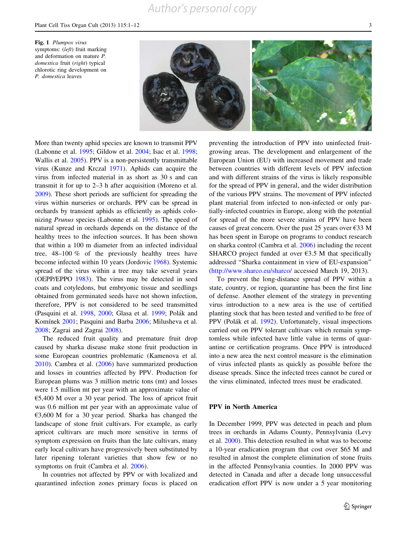## *Author's personal copy*

<span id="page-4-0"></span>Fig. 1 Plumpox virus symptoms: (left) fruit marking and deformation on mature P. domestica fruit (right) typical chlorotic ring development on P. domestica leaves



More than twenty aphid species are known to transmit PPV (Labonne et al. [1995;](#page-11-0) Gildow et al. [2004;](#page-10-0) Isac et al. [1998](#page-10-0); Wallis et al. [2005\)](#page-13-0). PPV is a non-persistently transmittable virus (Kunze and Krczal [1971](#page-11-0)). Aphids can acquire the virus from infected material in as short as 30 s and can transmit it for up to 2–3 h after acquisition (Moreno et al. [2009\)](#page-11-0). These short periods are sufficient for spreading the virus within nurseries or orchards. PPV can be spread in orchards by transient aphids as efficiently as aphids colonizing Prunus species (Labonne et al. [1995](#page-11-0)). The speed of natural spread in orchards depends on the distance of the healthy trees to the infection sources. It has been shown that within a 100 m diameter from an infected individual tree, 48–100 % of the previously healthy trees have become infected within 10 years (Jordovic [1968](#page-11-0)). Systemic spread of the virus within a tree may take several years (OEPP/EPPO [1983](#page-12-0)). The virus may be detected in seed coats and cotyledons, but embryonic tissue and seedlings obtained from germinated seeds have not shown infection, therefore, PPV is not considered to be seed transmitted (Pasquini et al. [1998](#page-12-0), [2000;](#page-12-0) Glasa et al. [1999](#page-10-0); Polák and Komínek [2001](#page-12-0); Pasquini and Barba [2006](#page-12-0); Milusheva et al. [2008;](#page-11-0) Zagrai and Zagrai [2008\)](#page-13-0).

The reduced fruit quality and premature fruit drop caused by sharka disease make stone fruit production in some European countries problematic (Kamenova et al. [2010\)](#page-11-0). Cambra et al. ([2006\)](#page-10-0) have summarized production and losses in countries affected by PPV. Production for European plums was 3 million metric tons (mt) and losses were 1.5 million mt per year with an approximate value of €5,400 M over a 30 year period. The loss of apricot fruit was 0.6 million mt per year with an approximate value of  $\epsilon$ 3,600 M for a 30 year period. Sharka has changed the landscape of stone fruit cultivars. For example, as early apricot cultivars are much more sensitive in terms of symptom expression on fruits than the late cultivars, many early local cultivars have progressively been substituted by later ripening tolerant varieties that show few or no symptoms on fruit (Cambra et al. [2006](#page-10-0)).

In countries not affected by PPV or with localized and quarantined infection zones primary focus is placed on preventing the introduction of PPV into uninfected fruitgrowing areas. The development and enlargement of the European Union (EU) with increased movement and trade between countries with different levels of PPV infection and with different strains of the virus is likely responsible for the spread of PPV in general, and the wider distribution of the various PPV strains. The movement of PPV infected plant material from infected to non-infected or only partially-infected countries in Europe, along with the potential for spread of the more severe strains of PPV have been causes of great concern. Over the past 25 years over  $\epsilon$ 33 M has been spent in Europe on programs to conduct research on sharka control (Cambra et al. [2006](#page-10-0)) including the recent SHARCO project funded at over  $63.5$  M that specifically addressed ''Sharka containment in view of EU-expansion'' [\(http://www.sharco.eu/sharco/](http://www.sharco.eu/sharco/) accessed March 19, 2013).

To prevent the long-distance spread of PPV within a state, country, or region, quarantine has been the first line of defense. Another element of the strategy in preventing virus introduction to a new area is the use of certified planting stock that has been tested and verified to be free of PPV (Polák et al. [1992\)](#page-12-0). Unfortunately, visual inspections carried out on PPV tolerant cultivars which remain symptomless while infected have little value in terms of quarantine or certification programs. Once PPV is introduced into a new area the next control measure is the elimination of virus infected plants as quickly as possible before the disease spreads. Since the infected trees cannot be cured or the virus eliminated, infected trees must be eradicated.

#### PPV in North America

In December 1999, PPV was detected in peach and plum trees in orchards in Adams County, Pennsylvania (Levy et al. [2000\)](#page-11-0). This detection resulted in what was to become a 10-year eradication program that cost over \$65 M and resulted in almost the complete elimination of stone fruits in the affected Pennsylvania counties. In 2000 PPV was detected in Canada and after a decade long unsuccessful eradication effort PPV is now under a 5 year monitoring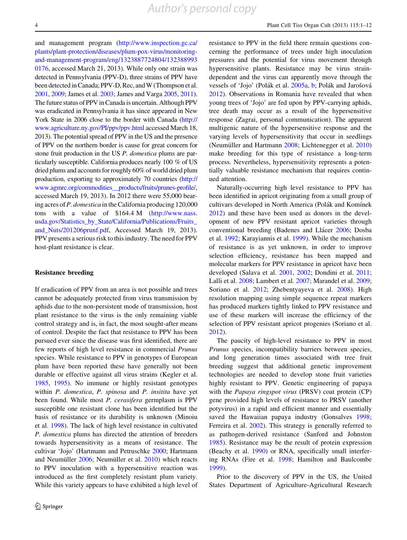and management program ([http://www.inspection.gc.ca/](http://www.inspection.gc.ca/plants/plant-protection/diseases/plum-pox-virus/monitoring-and-management-program/eng/1323887724804/1323889930176) [plants/plant-protection/diseases/plum-pox-virus/monitoring](http://www.inspection.gc.ca/plants/plant-protection/diseases/plum-pox-virus/monitoring-and-management-program/eng/1323887724804/1323889930176)[and-management-program/eng/1323887724804/132388993](http://www.inspection.gc.ca/plants/plant-protection/diseases/plum-pox-virus/monitoring-and-management-program/eng/1323887724804/1323889930176) [0176,](http://www.inspection.gc.ca/plants/plant-protection/diseases/plum-pox-virus/monitoring-and-management-program/eng/1323887724804/1323889930176) accessed March 21, 2013). While only one strain was detected in Pennsylvania (PPV-D), three strains of PPV have been detected in Canada; PPV-D, Rec, and W (Thompson et al. [2001](#page-13-0), [2009;](#page-13-0) James et al. [2003](#page-11-0); James and Varga [2005](#page-10-0), [2011](#page-10-0)). The future status of PPV in Canada is uncertain. Although PPV was eradicated in Pennsylvania it has since appeared in New York State in 2006 close to the border with Canada [\(http://](http://www.agriculture.ny.gov/PI/ppv/ppv.html) [www.agriculture.ny.gov/PI/ppv/ppv.html](http://www.agriculture.ny.gov/PI/ppv/ppv.html) accessed March 18, 2013). The potential spread of PPV in the US and the presence of PPV on the northern border is cause for great concern for stone fruit production in the US P. domestica plums are particularly susceptible. California produces nearly 100 % of US dried plums and accounts for roughly 60% of world dried plum production, exporting to approximately 70 countries [\(http://](http://www.agmrc.org/commodities__products/fruits/prunes-profile/) [www.agmrc.org/commodities\\_\\_products/fruits/prunes-profile/](http://www.agmrc.org/commodities__products/fruits/prunes-profile/), accessed March 19, 2013). In 2012 there were 55,000 bearing acres of  $P$ . domestica in the California producing 120,000 tons with a value of \$164.4 M [\(http://www.nass.](http://www.nass.usda.gov/Statistics_by_State/California/Publications/Fruits_and_Nuts/201206prunf.pdf) [usda.gov/Statistics\\_by\\_State/California/Publications/Fruits\\_](http://www.nass.usda.gov/Statistics_by_State/California/Publications/Fruits_and_Nuts/201206prunf.pdf) [and\\_Nuts/201206prunf.pdf](http://www.nass.usda.gov/Statistics_by_State/California/Publications/Fruits_and_Nuts/201206prunf.pdf), Accessed March 19, 2013). PPV presents a serious risk to this industry. The need for PPV host-plant resistance is clear.

#### Resistance breeding

If eradication of PPV from an area is not possible and trees cannot be adequately protected from virus transmission by aphids due to the non-persistent mode of transmission, host plant resistance to the virus is the only remaining viable control strategy and is, in fact, the most sought-after means of control. Despite the fact that resistance to PPV has been pursued ever since the disease was first identified, there are few reports of high level resistance in commercial Prunus species. While resistance to PPV in genotypes of European plum have been reported these have generally not been durable or effective against all virus strains (Kegler et al. [1985,](#page-11-0) [1995\)](#page-11-0). No immune or highly resistant genotypes within P. domestica, P. spinosa and P. insitita have yet been found. While most P. cerasifera germplasm is PPV susceptible one resistant clone has been identified but the basis of resistance or its durability is unknown (Minoiu et al. [1998](#page-11-0)). The lack of high level resistance in cultivated P. domestica plums has directed the attention of breeders towards hypersensitivity as a means of resistance. The cultivar 'Jojo' (Hartmann and Petruschke [2000](#page-10-0); Hartmann and Neumüller [2006](#page-10-0); Neumüller et al. [2010](#page-12-0)) which reacts to PPV inoculation with a hypersensitive reaction was introduced as the first completely resistant plum variety. While this variety appears to have exhibited a high level of resistance to PPV in the field there remain questions concerning the performance of trees under high inoculation pressures and the potential for virus movement through hypersensitive plants. Resistance may be virus straindependent and the virus can apparently move through the vessels of 'Jojo' (Polák et al. [2005a,](#page-12-0) [b;](#page-12-0) Polák and Jarošová [2012](#page-12-0)). Observations in Romania have revealed that when young trees of 'Jojo' are fed upon by PPV-carrying aphids, tree death may occur as a result of the hypersensitive response (Zagrai, personal communication). The apparent multigenic nature of the hypersensitive response and the varying levels of hypersensitivity that occur in seedlings (Neumüller and Hartmann [2008;](#page-11-0) Lichtenegger et al. [2010\)](#page-11-0) make breeding for this type of resistance a long-term process. Nevertheless, hypersensitivity represents a potentially valuable resistance mechanism that requires continued attention.

Naturally-occurring high level resistance to PPV has been identified in apricot originating from a small group of cultivars developed in North America (Polák and Komínek [2012](#page-12-0)) and these have been used as donors in the development of new PPV resistant apricot varieties through conventional breeding (Badenes and Llácer [2006;](#page-9-0) Dosba et al. [1992;](#page-10-0) Karayiannis et al. [1999\)](#page-11-0). While the mechanism of resistance is as yet unknown, in order to improve selection efficiency, resistance has been mapped and molecular markers for PPV resistance in apricot have been developed (Salava et al. [2001,](#page-12-0) [2002;](#page-12-0) Dondini et al. [2011](#page-10-0); Lalli et al. [2008;](#page-11-0) Lambert et al. [2007](#page-11-0); Marandel et al. [2009](#page-11-0); Soriano et al. [2012](#page-13-0); Zhebentyayeva et al. [2008](#page-13-0)). High resolution mapping using simple sequence repeat markers has produced markers tightly linked to PPV resistance and use of these markers will increase the efficiency of the selection of PPV resistant apricot progenies (Soriano et al. [2012](#page-13-0)).

The paucity of high-level resistance to PPV in most Prunus species, incompatibility barriers between species, and long generation times associated with tree fruit breeding suggest that additional genetic improvement technologies are needed to develop stone fruit varieties highly resistant to PPV. Genetic engineering of papaya with the *Papaya ringspot virus* (PRSV) coat protein (CP) gene provided high levels of resistance to PRSV (another potyvirus) in a rapid and efficient manner and essentially saved the Hawaiian papaya industry (Gonsalves [1998](#page-10-0); Ferreira et al. [2002](#page-10-0)). This strategy is generally referred to as pathogen-derived resistance (Sanford and Johnston [1985](#page-12-0)). Resistance may be the result of protein expression (Beachy et al. [1990\)](#page-9-0) or RNA, specifically small interfering RNAs (Fire et al. [1998](#page-10-0); Hamilton and Baulcombe [1999](#page-10-0)).

Prior to the discovery of PPV in the US, the United States Department of Agriculture-Agricultural Research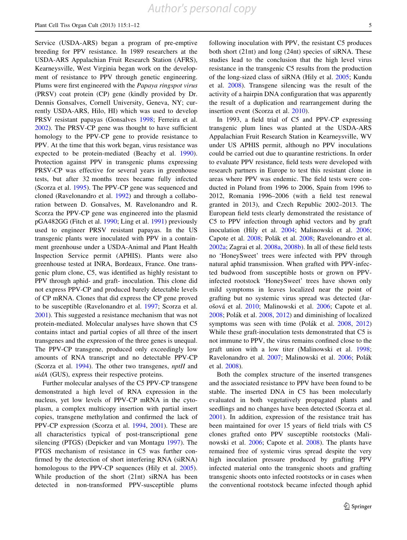Service (USDA-ARS) began a program of pre-emptive breeding for PPV resistance. In 1989 researchers at the USDA-ARS Appalachian Fruit Research Station (AFRS), Kearneysville, West Virginia began work on the development of resistance to PPV through genetic engineering. Plums were first engineered with the Papaya ringspot virus (PRSV) coat protein (CP) gene (kindly provided by Dr. Dennis Gonsalves, Cornell University, Geneva, NY; currently USDA-ARS, Hilo, HI) which was used to develop PRSV resistant papayas (Gonsalves [1998](#page-10-0); Ferreira et al. [2002\)](#page-10-0). The PRSV-CP gene was thought to have sufficient homology to the PPV-CP gene to provide resistance to PPV. At the time that this work began, virus resistance was expected to be protein-mediated (Beachy et al. [1990](#page-9-0)). Protection against PPV in transgenic plums expressing PRSV-CP was effective for several years in greenhouse tests, but after 32 months trees became fully infected (Scorza et al. [1995\)](#page-12-0). The PPV-CP gene was sequenced and cloned (Ravelonandro et al. [1992\)](#page-12-0) and through a collaboration between D. Gonsalves, M. Ravelonandro and R. Scorza the PPV-CP gene was engineered into the plasmid pGA482GG (Fitch et al. [1990](#page-10-0); Ling et al. [1991\)](#page-11-0) previously used to engineer PRSV resistant papayas. In the US transgenic plants were inoculated with PPV in a containment greenhouse under a USDA-Animal and Plant Health Inspection Service permit (APHIS). Plants were also greenhouse tested at INRA, Bordeaux, France. One transgenic plum clone, C5, was identified as highly resistant to PPV through aphid- and graft- inoculation. This clone did not express PPV-CP and produced barely detectable levels of CP mRNA. Clones that did express the CP gene proved to be susceptible (Ravelonandro et al. [1997](#page-12-0); Scorza et al. [2001\)](#page-12-0). This suggested a resistance mechanism that was not protein-mediated. Molecular analyses have shown that C5 contains intact and partial copies of all three of the insert transgenes and the expression of the three genes is unequal. The PPV-CP transgene, produced only exceedingly low amounts of RNA transcript and no detectable PPV-CP (Scorza et al. [1994](#page-12-0)). The other two transgenes, nptII and uidA (GUS), express their respective proteins.

Further molecular analyses of the C5 PPV-CP transgene demonstrated a high level of RNA expression in the nucleus, yet low levels of PPV-CP mRNA in the cytoplasm, a complex multicopy insertion with partial insert copies, transgene methylation and confirmed the lack of PPV-CP expression (Scorza et al. [1994,](#page-12-0) [2001\)](#page-12-0). These are all characteristics typical of post-transcriptional gene silencing (PTGS) (Depicker and van Montagu [1997](#page-10-0)). The PTGS mechanism of resistance in C5 was further confirmed by the detection of short interfering RNA (siRNA) homologous to the PPV-CP sequences (Hily et al. [2005](#page-10-0)). While production of the short (21nt) siRNA has been detected in non-transformed PPV-susceptible plums following inoculation with PPV, the resistant C5 produces both short (21nt) and long (24nt) species of siRNA. These studies lead to the conclusion that the high level virus resistance in the transgenic C5 results from the production of the long-sized class of siRNA (Hily et al. [2005](#page-10-0); Kundu et al. [2008\)](#page-11-0). Transgene silencing was the result of the activity of a hairpin DNA configuration that was apparently the result of a duplication and rearrangement during the insertion event (Scorza et al. [2010](#page-13-0)).

In 1993, a field trial of C5 and PPV-CP expressing transgenic plum lines was planted at the USDA-ARS Appalachian Fruit Research Station in Kearneysville, WV under US APHIS permit, although no PPV inoculations could be carried out due to quarantine restrictions. In order to evaluate PPV resistance, field tests were developed with research partners in Europe to test this resistant clone in areas where PPV was endemic. The field tests were conducted in Poland from 1996 to 2006, Spain from 1996 to 2012, Romania 1996–2006 (with a field test renewal granted in 2013), and Czech Republic 2002–2013. The European field tests clearly demonstrated the resistance of C5 to PPV infection through aphid vectors and by graft inoculation (Hily et al. [2004;](#page-10-0) Malinowski et al. [2006](#page-11-0); Capote et al. [2008;](#page-10-0) Polák et al. [2008](#page-12-0); Ravelonandro et al. [2002a;](#page-12-0) Zagrai et al. [2008a,](#page-13-0) [2008b\)](#page-13-0). In all of these field tests no 'HoneySweet' trees were infected with PPV through natural aphid transmission. When grafted with PPV-infected budwood from susceptible hosts or grown on PPVinfected rootstock 'HoneySweet' trees have shown only mild symptoms in leaves localized near the point of grafting but no systemic virus spread was detected (Jar-ošová et al. [2010](#page-11-0); Malinowski et al. [2006](#page-11-0); Capote et al. [2008](#page-10-0); Polák et al. [2008,](#page-12-0) [2012\)](#page-12-0) and diminishing of localized symptoms was seen with time (Polák et al. [2008](#page-12-0), [2012\)](#page-12-0) While these graft-inoculation tests demonstrated that C5 is not immune to PPV, the virus remains confined close to the graft union with a low titer (Malinowski et al. [1998](#page-11-0); Ravelonandro et al. [2007](#page-12-0); Malinowski et al. [2006;](#page-11-0) Polák et al. [2008\)](#page-12-0).

Both the complex structure of the inserted transgenes and the associated resistance to PPV have been found to be stable. The inserted DNA in C5 has been molecularly evaluated in both vegetatively propagated plants and seedlings and no changes have been detected (Scorza et al. [2001](#page-12-0)). In addition, expression of the resistance trait has been maintained for over 15 years of field trials with C5 clones grafted onto PPV susceptible rootstocks (Malinowski et al. [2006;](#page-11-0) Capote et al. [2008](#page-10-0)). The plants have remained free of systemic virus spread despite the very high inoculation pressure produced by grafting PPV infected material onto the transgenic shoots and grafting transgenic shoots onto infected rootstocks or in cases when the conventional rootstock became infected though aphid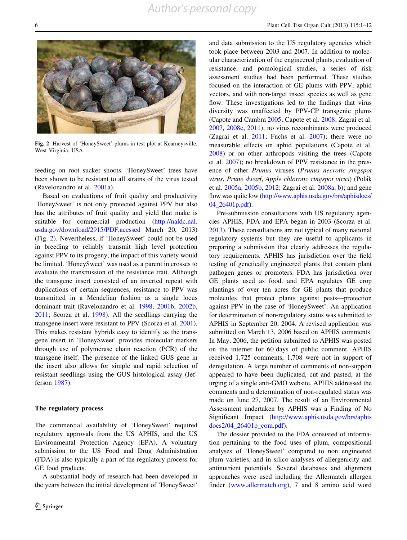

Fig. 2 Harvest of 'HoneySweet' plums in test plot at Kearneysville, West Virginia, USA

feeding on root sucker shoots. 'HoneySweet' trees have been shown to be resistant to all strains of the virus tested (Ravelonandro et al. [2001](#page-12-0)a).

Based on evaluations of fruit quality and productivity 'HoneySweet' is not only protected against PPV but also has the attributes of fruit quality and yield that make is suitable for commercial production [\(http://naldc.nal.](http://naldc.nal.usda.gov/download/2915/PDF,acessed) [usda.gov/download/2915/PDF,acessed](http://naldc.nal.usda.gov/download/2915/PDF,acessed) March 20, 2013) (Fig. 2). Nevertheless, if 'HoneySweet' could not be used in breeding to reliably transmit high level protection against PPV to its progeny, the impact of this variety would be limited. 'HoneySweet' was used as a parent in crosses to evaluate the transmission of the resistance trait. Although the transgene insert consisted of an inverted repeat with duplications of certain sequences, resistance to PPV was transmitted in a Mendelian fashion as a single locus dominant trait (Ravelonandro et al. [1998](#page-12-0), [2001b,](#page-12-0) [2002b,](#page-12-0) [2011;](#page-12-0) Scorza et al. [1998\)](#page-12-0). All the seedlings carrying the transgene insert were resistant to PPV (Scorza et al. [2001](#page-12-0)). This makes resistant hybrids easy to identify as the transgene insert in 'HoneySweet' provides molecular markers through use of polymerase chain reaction (PCR) of the transgene itself. The presence of the linked GUS gene in the insert also allows for simple and rapid selection of resistant seedlings using the GUS histological assay (Jefferson [1987](#page-11-0)).

#### The regulatory process

The commercial availability of 'HoneySweet' required regulatory approvals from the US APHIS, and the US Environmental Protection Agency (EPA). A voluntary submission to the US Food and Drug Administration (FDA) is also typically a part of the regulatory process for GE food products.

A substantial body of research had been developed in the years between the initial development of 'HoneySweet'

and data submission to the US regulatory agencies which took place between 2003 and 2007. In addition to molecular characterization of the engineered plants, evaluation of resistance, and pomological studies, a series of risk assessment studies had been performed. These studies focused on the interaction of GE plums with PPV, aphid vectors, and with non-target insect species as well as gene flow. These investigations led to the findings that virus diversity was unaffected by PPV-CP transgenic plums (Capote and Cambra [2005;](#page-10-0) Capote et al. [2008](#page-10-0); Zagrai et al. [2007](#page-13-0), [2008c](#page-13-0), [2011\)](#page-13-0); no virus recombinants were produced (Zagrai et al. [2011](#page-13-0); Fuchs et al. [2007\)](#page-10-0); there were no measurable effects on aphid populations (Capote et al. [2008](#page-10-0)) or on other arthropods visiting the trees (Capote et al. [2007](#page-10-0)); no breakdown of PPV resistance in the presence of other Prunus viruses (Prunus necrotic ringspot virus, Prune dwarf, Apple chlorotic ringspot virus) (Polák et al. [2005a,](#page-12-0) [2005b](#page-12-0), [2012](#page-12-0); Zagrai et al. [2008a](#page-13-0), [b](#page-13-0)); and gene flow was quite low [\(http://www.aphis.usda.gov/brs/aphisdocs/](http://www.aphis.usda.gov/brs/aphisdocs/04_26401p.pdf) [04\\_26401p.pdf\)](http://www.aphis.usda.gov/brs/aphisdocs/04_26401p.pdf).

Pre-submission consultations with US regulatory agencies APHIS, FDA and EPA began in 2003 (Scorza et al. [2013](#page-13-0)). These consultations are not typical of many national regulatory systems but they are useful to applicants in preparing a submission that clearly addresses the regulatory requirements. APHIS has jurisdiction over the field testing of genetically engineered plants that contain plant pathogen genes or promoters. FDA has jurisdiction over GE plants used as food, and EPA regulates GE crop plantings of over ten acres for GE plants that produce molecules that protect plants against pests—protection against PPV in the case of 'HoneySweet'. An application for determination of non-regulatory status was submitted to APHIS in September 20, 2004. A revised application was submitted on March 13, 2006 based on APHIS comments. In May, 2006, the petition submitted to APHIS was posted on the internet for 60 days of public comment. APHIS received 1,725 comments, 1,708 were not in support of deregulation. A large number of comments of non-support appeared to have been duplicated, cut and pasted, at the urging of a single anti-GMO website. APHIS addressed the comments and a determination of non-regulated status was made on June 27, 2007. The result of an Environmental Assessment undertaken by APHIS was a Finding of No Significant Impact ([http://www.aphis.usda.gov/brs/aphis](http://www.aphis.usda.gov/brs/aphisdocs2/04_26401p_com.pdf) [docs2/04\\_26401p\\_com.pdf](http://www.aphis.usda.gov/brs/aphisdocs2/04_26401p_com.pdf)).

The dossier provided to the FDA consisted of information pertaining to the food uses of plum, compositional analyses of 'HoneySweet' compared to non engineered plum varieties, and in silico analyses of allergenicity and antinutrient potentials. Several databases and alignment approaches were used including the Allermatch allergen finder ([www.allermatch.org](http://www.allermatch.org)), 7 and 8 amino acid word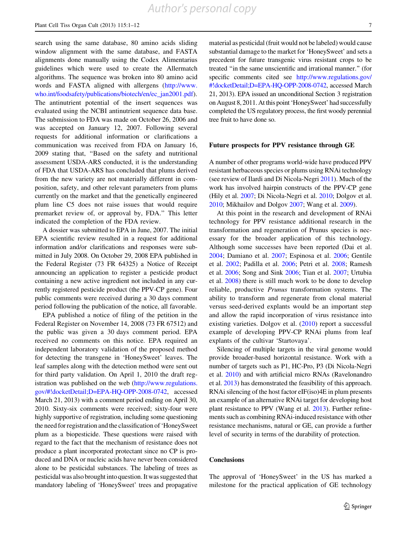search using the same database, 80 amino acids sliding window alignment with the same database, and FASTA alignments done manually using the Codex Alimentarius guidelines which were used to create the Allermatch algorithms. The sequence was broken into 80 amino acid words and FASTA aligned with allergens [\(http://www.](http://www.who.int/foodsafety/publications/biotech/en/ec_jan2001.pdf) [who.int/foodsafety/publications/biotech/en/ec\\_jan2001.pdf\)](http://www.who.int/foodsafety/publications/biotech/en/ec_jan2001.pdf). The antinutrient potential of the insert sequences was evaluated using the NCBI antinutrient sequence data base. The submission to FDA was made on October 26, 2006 and was accepted on January 12, 2007. Following several requests for additional information or clarifications a communication was received from FDA on January 16, 2009 stating that, ''Based on the safety and nutritional assessment USDA-ARS conducted, it is the understanding of FDA that USDA-ARS has concluded that plums derived from the new variety are not materially different in composition, safety, and other relevant parameters from plums currently on the market and that the genetically engineered plum line C5 does not raise issues that would require premarket review of, or approval by, FDA.'' This letter indicated the completion of the FDA review.

A dossier was submitted to EPA in June, 2007. The initial EPA scientific review resulted in a request for additional information and/or clarifications and responses were submitted in July 2008. On October 29, 2008 EPA published in the Federal Register (73 FR 64325) a Notice of Receipt announcing an application to register a pesticide product containing a new active ingredient not included in any currently registered pesticide product (the PPV-CP gene). Four public comments were received during a 30 days comment period following the publication of the notice, all favorable.

EPA published a notice of filing of the petition in the Federal Register on November 14, 2008 (73 FR 67512) and the public was given a 30 days comment period. EPA received no comments on this notice. EPA required an independent laboratory validation of the proposed method for detecting the transgene in 'HoneySweet' leaves. The leaf samples along with the detection method were sent out for third party validation. On April 1, 2010 the draft registration was published on the web [\(http://www.regulations.](http://www.regulations.gov/#!docketDetail;D=EPA-HQ-OPP-2008-0742) [gov/#!docketDetail;D=EPA-HQ-OPP-2008-0742,](http://www.regulations.gov/#!docketDetail;D=EPA-HQ-OPP-2008-0742) accessed March 21, 2013) with a comment period ending on April 30, 2010. Sixty-six comments were received; sixty-four were highly supportive of registration, including some questioning the need for registration and the classification of 'HoneySweet plum as a biopesticide. These questions were raised with regard to the fact that the mechanism of resistance does not produce a plant incorporated protectant since no CP is produced and DNA or nucleic acids have never been considered alone to be pesticidal substances. The labeling of trees as pesticidal was also brought into question. It was suggested that mandatory labeling of 'HoneySweet' trees and propagative material as pesticidal (fruit would not be labeled) would cause substantial damage to the market for 'HoneySweet' and sets a precedent for future transgenic virus resistant crops to be treated ''in the same unscientific and irrational manner.'' (for specific comments cited see [http://www.regulations.gov/](http://www.regulations.gov/#!docketDetail;D=EPA-HQ-OPP-2008-0742) [#!docketDetail;D=EPA-HQ-OPP-2008-0742,](http://www.regulations.gov/#!docketDetail;D=EPA-HQ-OPP-2008-0742) accessed March 21, 2013). EPA issued an unconditional Section 3 registration on August 8, 2011. At this point 'HoneySweet' had successfully completed the US regulatory process, the first woody perennial tree fruit to have done so.

#### Future prospects for PPV resistance through GE

A number of other programs world-wide have produced PPV resistant herbaceous species or plums using RNAi technology (see review of Ilardi and Di Nicola-Negri [2011\)](#page-10-0). Much of the work has involved hairpin constructs of the PPV-CP gene (Hily et al. [2007;](#page-10-0) Di Nicola-Negri et al. [2010;](#page-10-0) Dolgov et al. [2010;](#page-10-0) Mikhailov and Dolgov [2007](#page-11-0); Wang et al. [2009\)](#page-13-0).

At this point in the research and development of RNAi technology for PPV resistance additional research in the transformation and regeneration of Prunus species is necessary for the broader application of this technology. Although some successes have been reported (Dai et al. [2004](#page-10-0); Damiano et al. [2007](#page-10-0); Espinosa et al. [2006](#page-10-0); Gentile et al. [2002](#page-10-0); Padilla et al. [2006](#page-12-0); Petri et al. [2008;](#page-12-0) Ramesh et al. [2006](#page-12-0); Song and Sink [2006](#page-13-0); Tian et al. [2007;](#page-13-0) Urtubia et al. [2008](#page-13-0)) there is still much work to be done to develop reliable, productive Prunus transformation systems. The ability to transform and regenerate from clonal material versus seed-derived explants would be an important step and allow the rapid incorporation of virus resistance into existing varieties. Dolgov et al. [\(2010](#page-10-0)) report a successful example of developing PPV-CP RNAi plums from leaf explants of the cultivar 'Startovaya'.

Silencing of multiple targets in the viral genome would provide broader-based horizontal resistance. Work with a number of targets such as P1, HC-Pro, P3 (Di Nicola-Negri et al. [2010\)](#page-10-0) and with artificial micro RNAs (Ravelonandro et al. [2013](#page-12-0)) has demonstrated the feasibility of this approach. RNAi silencing of the host factor eIF(iso)4E in plum presents an example of an alternative RNAi target for developing host plant resistance to PPV (Wang et al. [2013](#page-13-0)). Further refinements such as combining RNAi-induced resistance with other resistance mechanisms, natural or GE, can provide a further level of security in terms of the durability of protection.

#### Conclusions

The approval of 'HoneySweet' in the US has marked a milestone for the practical application of GE technology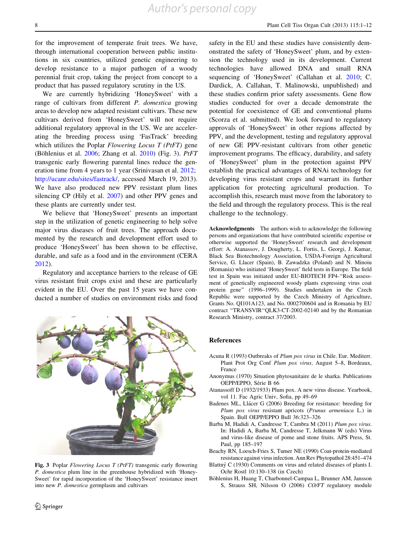*Author's personal copy*

for the improvement of temperate fruit trees. We have, through international cooperation between public institutions in six countries, utilized genetic engineering to develop resistance to a major pathogen of a woody perennial fruit crop, taking the project from concept to a product that has passed regulatory scrutiny in the US.

We are currently hybridizing 'HoneySweet' with a range of cultivars from different P. domestica growing areas to develop new adapted resistant cultivars. These new cultivars derived from 'HoneySweet' will not require additional regulatory approval in the US. We are accelerating the breeding process using 'FasTrack' breeding which utilizes the Poplar Flowering Locus  $T$  (PtFT) gene (Böhlenius et al.  $2006$ ; Zhang et al.  $2010$ ) (Fig. 3).  $PtFT$ transgenic early flowering parental lines reduce the generation time from 4 years to 1 year (Srinivasan et al. [2012;](#page-13-0) <http://ucanr.edu/sites/fastrack/>, accessed March 19, 2013). We have also produced new PPV resistant plum lines silencing CP (Hily et al. [2007](#page-10-0)) and other PPV genes and these plants are currently under test.

We believe that 'HoneySweet' presents an important step in the utilization of genetic engineering to help solve major virus diseases of fruit trees. The approach documented by the research and development effort used to produce 'HoneySweet' has been shown to be effective, durable, and safe as a food and in the environment (CERA [2012\)](#page-10-0).

Regulatory and acceptance barriers to the release of GE virus resistant fruit crops exist and these are particularly evident in the EU. Over the past 15 years we have conducted a number of studies on environment risks and food



Fig. 3 Poplar Flowering Locus T (PtFT) transgenic early flowering P. domestica plum line in the greenhouse hybridized with 'Honey-Sweet' for rapid incorporation of the 'HoneySweet' resistance insert into new P. domestica germplasm and cultivars

<span id="page-9-0"></span>8 **Plant Cell Tiss Organ Cult** (2013) 115:1–12

safety in the EU and these studies have consistently demonstrated the safety of 'HoneySweet' plum, and by extension the technology used in its development. Current technologies have allowed DNA and small RNA sequencing of 'HoneySweet' (Callahan et al. [2010;](#page-10-0) C. Dardick, A. Callahan, T. Malinowski, unpublished) and these studies confirm prior safety assessments. Gene flow studies conducted for over a decade demonstrate the potential for coexistence of GE and conventional plums (Scorza et al. submitted). We look forward to regulatory approvals of 'HoneySweet' in other regions affected by PPV, and the development, testing and regulatory approval of new GE PPV-resistant cultivars from other genetic improvement programs. The efficacy, durability, and safety of 'HoneySweet' plum in the protection against PPV establish the practical advantages of RNAi technology for developing virus resistant crops and warrant its further application for protecting agricultural production. To accomplish this, research must move from the laboratory to the field and through the regulatory process. This is the real challenge to the technology.

Acknowledgments The authors wish to acknowledge the following persons and organizations that have contributed scientific expertise or otherwise supported the 'HoneySweet' research and development effort: A. Atanassov, J. Dougherty, L. Fortis, L. Georgi, J. Kumar, Black Sea Biotechnology Association, USDA-Foreign Agricultural Service, G. Llacer (Spain), B. Zawadzka (Poland) and N. Minoiu (Romania) who initiated 'HoneySweet' field tests in Europe. The field test in Spain was initiated under EU-BIOTECH FP4-''Risk assessment of genetically engineered woody plants expressing virus coat protein gene'' (1996–1999). Studies undertaken in the Czech Republic were supported by the Czech Ministry of Agriculture, Grants No. QI101A123, and No. 0002700604 and in Romania by EU contract ''TRANSVIR''QLK3-CT-2002-02140 and by the Romanian Research Ministry, contract 37/2003.

#### References

- Acuna R (1993) Outbreaks of Plum pox virus in Chile. Eur. Mediterr. Plant Prot Org Conf Plum pox virus, August 5–8, Bordeaux, France
- Anonymus (1970) Situation phytosanitaire de le sharka. Publications OEPP/EPPO, Série B 66
- Atanassoff D (1932/1933) Plum pox. A new virus disease. Yearbook, vol 11. Fac Agric Univ, Sofia, pp 49–69
- Badenes ML, Llácer G (2006) Breeding for resistance: breeding for Plum pox virus resistant apricots (Prunus armeniaca L.) in Spain. Bull OEPP/EPPO Bull 36:323–326
- Barba M, Hadidi A, Candresse T, Cambra M (2011) Plum pox virus. In: Hadidi A, Barba M, Candresse T, Jelkmann W (eds) Virus and virus-like disease of pome and stone fruits. APS Press, St. Paul, pp 185–197
- Beachy RN, Loesch-Fries S, Tumer NE (1990) Coat-protein-mediated resistance against virus infection. Ann Rev Phytopathol 28:451–474
- Blattný C (1930) Comments on virus and related diseases of plants I. Ochr Rostl 10:130–138 (in Czech)
- Böhlenius H, Huang T, Charbonnel-Campaa L, Brunner AM, Jansson S, Strauss SH, Nilsson O (2006) CO/FT regulatory module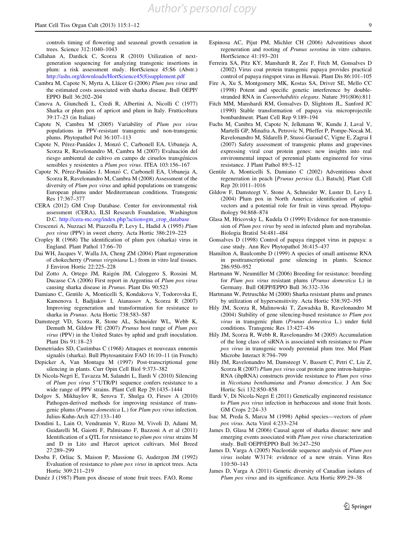<span id="page-10-0"></span>controls timing of flowering and seasonal growth cessation in trees. Science 312:1040–1043

- Callahan A, Dardick C, Scorza R (2010) Utilization of nextgeneration sequencing for analyzing transgenic insertions in plum: a risk assessment study. HortScience 45:S6 (Abstr.) [http://ashs.org/downloads/HortScience45\(8\)supplement.pdf](http://ashs.org/downloads/HortScience45(8)supplement.pdf)
- Cambra M, Capote N, Myrta A, Llácer G (2006) Plum pox virus and the estimated costs associated with sharka disease. Bull OEPP/ EPPO Bull 36:202–204
- Canova A, Giunchedi L, Credi R, Albertini A, Nicolli C (1977) Sharka or plum pox of apricot and plum in Italy. Frutticoltura 39:17–23 (in Italian)
- Capote N, Cambra M (2005) Variability of Plum pox virus populations in PPV-resistant transgenic and non-transgenic plums. Phytopathol Pol 36:107–113
- Capote N, Pérez-Panádes J, Monzó C, Carbonell EA, Urbaneja A, Scorza R, Ravelonandro M, Cambra M (2007) Evaluación del riesgo ambiental de cultivo en campo de ciruelos transgénicos sensibles y resistentes a *Plum pox virus*. ITEA 103:156–167
- Capote N, Pérez-Panádes J, Monzó C, Carbonell EA, Urbaneja A, Scorza R, Ravelonandro M, Cambra M (2008) Assessment of the diversity of Plum pox virus and aphid populations on transgenic European plums under Mediterranean conditions. Transgenic Res 17:367–377
- CERA (2012) GM Crop Database. Center for environmental risk assessment (CERA), ILSI Research Foundation, Washington D.C. [http://cera-mc.org/index.php?action=gm\\_crop\\_database](http://cera-mc.org/index.php?action=gm_crop_database)
- Crescenzi A, Nuzzaci M, Piazzolla P, Levy L, Hadid A (1995) Plum pox virus (PPV) in sweet cherry. Acta Hortic 386:219–225
- Cropley R (1968) The identification of plum pox (sharka) virus in England. Plant Pathol 17:66–70
- Dai WH, Jacques V, Walla JA, Cheng ZM (2004) Plant regeneration of chokecherry (Prunus virginiana L.) from in vitro leaf tissues. J Environ Hortic 22:225–228
- Dal Zotto A, Ortego JM, Raigón JM, Caloggero S, Rossini M, Ducasse CA (2006) First report in Argentina of Plum pox virus causing sharka disease in Prunus. Plant Dis 90:523
- Damiano C, Gentile A, Monticelli S, Kondakova V, Todorovska E, Kamenova I, Badjiakov I, Atanassov A, Scorza R (2007) Improving regeneration and transformation for resistance to sharka in Prunus. Acta Hortic 738:583–587
- Damsteegt VD, Scorza R, Stone AL, Schneider WL, Webb K, Demuth M, Gildow FE (2007) Prunus host range of Plum pox virus (PPV) in the United States by aphid and graft inoculation. Plant Dis 91:18–23
- Demetriades SD, Castimbas C (1968) Attaques et nouveaux ennemis signalés (sharka). Bull Phytosanitaire FAO 16:10–11 (in French)
- Depicker A, Van Montagu M (1997) Post-transcriptional gene silencing in plants. Curr Opin Cell Biol 9:373–382
- Di Nicola-Negri E, Tavazza M, Salandri L, Ilardi V (2010) Silencing of Plum pox virus 5''UTR/P1 sequence confers resistance to a wide range of PPV strains. Plant Cell Rep 29:1435–1444
- Dolgov S, Mikhaylov R, Serova T, Shulga O, Firsov A (2010) Pathogen-derived methods for improving resistance of transgenic plums (Prunus domestica L.) for Plum pox virus infection. Julius-Kuhn-Arch 427:133–140
- Dondini L, Lain O, Vendramin V, Rizzo M, Vivoli D, Adami M, Guidarelli M, Gaiotti F, Palmisano F, Bazzoni A et al (2011) Identification of a QTL for resistance to plum pox virus strains M and D in Lito and Harcot apricot cultivars. Mol Breed 27:289–299
- Dosba F, Orliac S, Maison P, Massione G, Audergon JM (1992) Evaluation of resistance to plum pox virus in apricot trees. Acta Hortic 309:211–219
- Dunéz J (1987) Plum pox disease of stone fruit trees. FAO, Rome
- Espinosa AC, Pijut PM, Michler CH (2006) Adventitious shoot regeneration and rooting of Prunus serotina in vitro cultures. HortScience 41:193–201
- Ferreira SA, Pitz KY, Manshardt R, Zee F, Fitch M, Gonsalves D (2002) Virus coat protein transgenic papaya provides practical control of papaya ringspot virus in Hawaii. Plant Dis 86:101–105
- Fire A, Xu S, Montgomery MK, Kostas SA, Driver SE, Mello CC (1998) Potent and specific genetic interference by doublestranded RNA in Caenorhabditis elegans. Nature 391(806):811
- Fitch MM, Manshardi RM, Gonsalves D, Slightom JL, Sanford JC (1990) Stable transformation of papaya via microprojectile bombardment. Plant Cell Rep 9:189–194
- Fuchs M, Cambra M, Capote N, Jelkmann W, Kundu J, Laval V, Martelli GP, Minafra A, Petrovic N, Pfieffer P, Pompe-Nocak M, Ravelonandro M, Sldarelli P, Stussi-Garaud C, Vigne E, Zagrai I (2007) Safety assessment of transgenic plums and grapevines expressing viral coat protein genes: new insights into real environmental impact of perennial plants engineered for virus resistance. J Plant Pathol 89:5–12
- Gentile A, Monticelli S, Damiano C (2002) Adventitious shoot regeneration in peach [Prunus persica (L.) Batsch]. Plant Cell Rep 20:1011–1016
- Gildow F, Damsteegt V, Stone A, Schneider W, Luster D, Levy L (2004) Plum pox in North America: identification of aphid vectors and a potential role for fruit in virus spread. Phytopathology 94:868–874
- Glasa M, Hricovsky L, Kudela O (1999) Evidence for non-transmission of Plum pox virus by seed in infected plum and myrabolan. Biologia Bratisl 54:481–484
- Gonsalves D (1998) Control of papaya ringspot virus in papaya: a case study. Ann Rev Phytopathol 36:415–437
- Hamilton A, Baulcombe D (1999) A species of small antisense RNA in posttranscriptional gene silencing in plants. Science 286:950–952
- Hartmann W, Neumüller M (2006) Breeding for resistance: breeding for Plum pox virus resistant plums (Prunus domestica L) in Germany. Bull OEPP/EPPO Bull 36:332–336
- Hartmann W, Petruschke M (2000) Sharka resistant plums and prunes by utilization of hypersensitivity. Acta Hortic 538:392–395
- Hily JM, Scorza R, Malinowski T, Zawadska B, Ravelonandro M (2004) Stability of gene silencing-based resistance to Plum pox virus in transgenic plum (Prunus domestica L.) under field conditions. Transgenic Res 13:427–436
- Hily JM, Scorza R, Webb R, Ravelonandro M (2005) Accumulation of the long class of siRNA is associated with resistance to Plum pox virus in transgenic woody perennial plum tree. Mol Plant Microbe Interact 8:794–799
- Hily JM, Ravelonandro M, Damsteegt V, Bassett C, Petri C, Liu Z, Scorza R (2007) Plum pox virus coat protein gene intron-hairpin-RNA (ihpRNA) constructs provide resistance to Plum pox virus in Nicotiana benthamiana and Prunus domestica. J Am Soc Hortic Sci 132:850–858
- Ilardi V, Di Nicola-Negri E (2011) Genetically engineered resistance to Plum pox virus infection in herbaceous and stone fruit hosts. GM Crops 2:24–33
- Isac M, Preda S, Marcu M (1998) Aphid species—vectors of plum pox virus. Acta Virol 4:233–234
- James D, Glasa M (2006) Causal agent of sharka disease: new and emerging events associated with *Plum pox virus* characterization study. Bull OEPP/EPPO Bull 36:247–250
- James D, Varga A (2005) Nucleotide sequence analysis of Plum pox virus isolate W3174: evidence of a new strain. Virus Res 110:50–143
- James D, Varga A (2011) Genetic diversity of Canadian isolates of Plum pox virus and its significance. Acta Hortic 899:29–38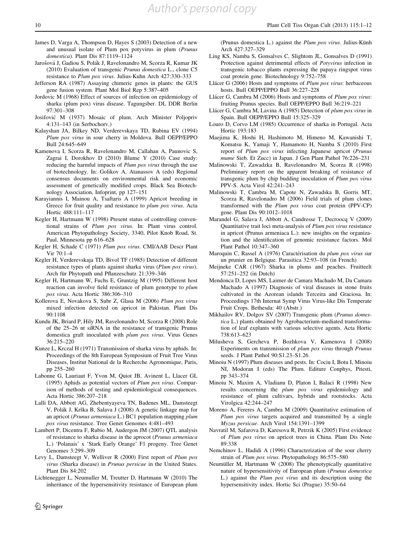- <span id="page-11-0"></span>James D, Varga A, Thompson D, Hayes S (2003) Detection of a new and unusual isolate of Plum pox potyvirus in plum (Prunus domestica). Plant Dis 87:1119–1124
- Jarošová J, Gadiou S, Polák J, Ravelonandro M, Scorza R, Kumar JK (2010) Evaluation of transgenic Prunus domestica L., clone C5 resistance to Plum pox virus. Julius-Kuhn Arch 427:330–333
- Jefferson RA (1987) Assaying chimeric genes in plants: the GUS gene fusion system. Plant Mol Biol Rep 5:387–405
- Jordovic M (1968) Effect of sources of infection on epidemiology of sharka (plum pox) virus disease. Tagungsber. DL DDR Berlin 97:301–308
- Josifovic´ M (1937) Mosaic of plum. Arch Minister Poljopriv 4:131–143 (in Serbochorv.)
- Kalayshan JA, Bilkey ND, Verderevskaya TD, Rubina EV (1994) Plum pox virus in sour cherry in Moldova. Bull OEPP/EPPO Bull 24:645–649
- Kamenova I, Scorza R, Ravelonandro M, Callahan A, Paunovic S, Zagrai I, Dorokhov D (2010) Blume Y (2010) Case study: reducing the harmful impacts of *Plum pox virus* through the use of biotechnology. In: Golikov A, Atanassov A (eds) Regional consensus documents on environmental risk and economic assessment of genetically modified crops. Black Sea Biotechnology Association, Infoprint, pp 127–151
- Karayiannis I, Mainou A, Tsaftaris A (1999) Apricot breeding in Greece for fruit quality and resistance to plum pox virus. Acta Hortic 488:111–117
- Kegler H, Hartmann W (1998) Present status of controlling conventional strains of Plum pox virus. In: Plant virus control. American Phytopathology Society, 3340, Pilot Knob Road, St. Paul, Minnesota pp 616–628
- Kegler H, Schade C (1971) Plum pox virus. CMI/AAB Descr Plant Vir 70:1–4
- Kegler H, Verderevskaja TD, Bivol TF (1985) Detection of different resistance types of plants against sharka virus (Plum pox virus). Arch für Phytopath und Pflanzeschutz 21:339-346
- Kegler H, Hartmann W, Fuchs E, Gruntzig M (1995) Different host reaction can involve field resistance of plum genotype to plum pox virus. Acta Hortic 386:306–310
- Kollerova E, Novakova S, Subr Z, Glasa M (2006) Plum pox virus mixed infection detected on apricot in Pakistan. Plant Dis 90:1108
- Kundu JK, Briard P, Hily JM, Ravelonandro M, Scorza R (2008) Role of the 25–26 nt siRNA in the resistance of transgenic Prunus domestica graft inoculated with plum pox virus. Virus Genes 36:215–220
- Kunze L, Krczal H (1971) Transmission of sharka virus by aphids. In: Proceedings of the 8th European Symposium of Fruit Tree Virus Diseases, Institut National de la Recherche Agronomique, Paris, pp 255–260
- Labonne G, Lauriaut F, Yvon M, Quiot JB, Avinent L, Llacer GL (1995) Aphids as potential vectors of Plum pox virus. Comparison of methods of testing and epidemiological consequences. Acta Hortic 386:207–218
- Lalli DA, Abbott AG, Zhebentyayeva TN, Badenes ML, Damsteegt V, Polák J, Krška B, Salava J (2008) A genetic linkage map for an apricot (Prunus armeniaca L.) BC1 population mapping plum pox virus resistance. Tree Genet Genomes 4:481–493
- Lambert P, Dicentra F, Rubio M, Audergon JM (2007) QTL analysis of resistance to sharka disease in the aprocot (Prunus armeniaca L.) 'Polanais' x 'Stark Early Orange' F1 progeny. Tree Genet Genomes 3:299–309
- Levy L, Damsteegt V, Welliver R (2000) First report of Plum pox virus (Sharka disease) in Prunus persicae in the United States. Plant Dis 84:202
- Lichtenegger L, Neumuller M, Treutter D, Hartmann W (2010) The inheritance of the hypersensitivity resistance of European plum

(Prunus domestica L.) against the  $Plum$  pox virus. Julius-Künh Arch 427:327–329

- Ling KS, Namba S, Gonsalves C, Slightom JL, Gonsalves D (1991) Protection against detrimental effects of Potyvirus infection in transgenic tobacco plants expressing the papaya ringspot virus coat protein gene. Biotechnology 9:752–758
- Llácer G (2006) Hosts and symptoms of *Plum pox virus*: herbaceous hosts. Bull OEPP/EPPO Bull 36:227–228
- Llácer G, Cambra M (2006) Hosts and symptoms of Plum pox virus: fruiting Prunus species. Bull OEPP/EPPO Bull 36:219–221
- Llácer G, Cambra M, Lavina A (1985) Detection of plum pox virus in Spain. Bull OEPP/EPPO Bull 15:325–329
- Louro D, Corvo LM (1985) Occurrence of sharka in Portugal. Acta Hortic 193:183
- Maejima K, Hoshi H, Hashimoto M, Himeno M, Kawanishi T, Komatsu K, Yamaji Y, Hamamoto H, Namba S (2010) First report of Plum pox virus infecting Japanese apricot (Prunus mume Sieb. Et Zucc) in Japan. J Gen Plant Pathol 76:226–231
- Malinowski T, Zawadzka B, Ravelonandro M, Scorza R (1998) Preliminary report on the apparent breaking of resistance of transgenic plum by chip budding inoculation of Plum pox virus PPV-S. Acta Virol 42:241–243
- Malinowski T, Cambra M, Capote N, Zawadska B, Gorris MT, Scorza R, Ravelonadro M (2006) Field trials of plum clones transformed with the Plum pox virus coat protein (PPV-CP) gene. Plant Dis 90:1012–1018
- Marandel G, Salava J, Abbott A, Candresse T, Decroocq V (2009) Quantitative trait loci meta-analysis of Plum pox virus resistance in apricot (Prunus armeniaca L.): new insights on the organization and the identification of genomic resistance factors. Mol Plant Pathol 10:347–360
- Maroquin C, Rassel A (1976) Caractérisation du plum pox virus sur un prunier en Belgique. Parasitica 32:93–108 (in French)
- Meijneke CAR (1967) Sharka in plums and peaches. Fruitteelt 57:251–252 (in Dutch)
- Mendonca D, Lopes MS, Laimer de Camara Machado M, Da Camara Machado A (1997) Diagnosis of viral diseases in stone fruits cultivated in the Azorean islands Terceira and Graciosa. In: Proceedings 17th Internat Symp Virus Virus-like Dis Temperate Fruit Crops. Bethesda: 40 (Abstr.)
- Mikhailov RV, Dolgov SV (2007) Transgenic plum (Prunus domestica L.) plants obtained by Agrobacterium-mediated transformation of leaf explants with various selective agents. Acta Hortic 738:613–623
- Milusheva S, Gercheva P, Bozhkova V, Kamenova I (2008) Experiments on transmission of plum pox virus through Prunus seeds. J Plant Pathol 90:S1.23–S1.26
- Minoiu N (1997) Plum diseases and pests. In: Cociu I, Botu I, Minoiu NI, Modoran I (eds) The Plum. Editure Conphys, Pitesti, pp 343–374
- Minoiu N, Maxim A, Vladianu D, Platon I, Balaci R (1998) New results concerning the plum pox virus epidemiology and resistance of plum cultivars, hybrids and rootstocks. Acta Virolgica 42:244–247
- Moreno A, Fereres A, Cambra M (2009) Quantitative estimation of Plum pox virus targets acquired and transmitted by a single Myzus persicae. Arch Virol 154:1391–1399
- Navratil M, Safarova D, Karesova R, Petrzik K (2005) First evidence of Plum pox virus on apricot trees in China. Plant Dis Note 89:338
- Nemchinov L, Hadidi A (1996) Characterization of the sour cherry strain of Plum pox virus. Phytopathology 86:575–580
- Neumüller M, Hartmann W (2008) The phenotypically quantitative nature of hypersensitivity of European plum (Prunus domestica L.) against the Plum pox virus and its description using the hypersensitivity index. Hortic Sci (Prague) 35:50–64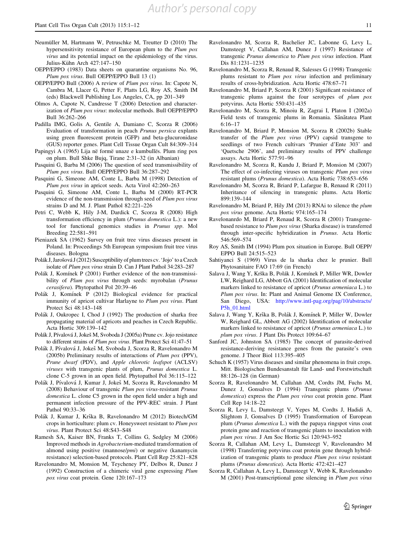- <span id="page-12-0"></span>Neumüller M, Hartmann W, Petruschke M, Treutter D (2010) The hypersensitivity resistance of European plum to the Plum pox virus and its potential impact on the epidemiology of the virus. Julius-Kühn Arch 427:147-150
- OEPP/EPPO (1983) Data sheets on quarantine organisms No. 96, Plum pox virus. Bull OEPP/EPPO Bull 13 (1)
- OEPP/EPPO Bull (2006) A review of Plum pox virus. In: Capote N, Cambra M, Llacer G, Petter F, Platts LG, Roy AS, Smith IM (eds) Blackwell Publishing Los Angeles, CA, pp 201–349
- Olmos A, Capote N, Candresse T (2006) Detection and characterization of Plum pox virus: molecular methods. Bull OEPP/EPPO Bull 36:262–266
- Padilla IMG, Golis A, Gentile A, Damiano C, Scorza R (2006) Evaluation of transformation in peach Prunus persica explants using green fluorescent protein (GFP) and beta-glucuronidase (GUS) reporter genes. Plant Cell Tissue Organ Cult 84:309–314
- Papingyi A (1965) Lija në formë unaze e kumbullës. Plum ring pox on plum. Bull Shke Bujq, Tirane 2:31–32 (in Albanian)
- Pasquini G, Barba M (2006) The question of seed transmissibility of Plum pox virus. Bull OEPP/EPPO Bull 36:287–292
- Pasquini G, Simeone AM, Conte L, Barba M (1998) Detection of Plum pox virus in apricot seeds. Acta Virol 42:260–263
- Pasquini G, Simeone AM, Conte L, Barba M (2000) RT-PCR evidence of the non-transmission through seed of *Plum pox virus* strains D and M. J. Plant Pathol 82:221–226
- Petri C, Webb K, Hily J-M, Dardick C, Scorza R (2008) High transformation efficiency in plum (Prunus domestica L.): a new tool for functional genomics studies in Prunus spp. Mol Breeding 22:581–591
- Pieniazek SA (1962) Survey on fruit tree virus diseases present in Poland. In: Proceedings 5th European symposium fruit tree virus diseases. Bologna
- Polák J, Jarošová J (2012) Susceptibility of plum trees cv. 'Jojo' to a Czech isolate of Plum pox virus strain D. Can J Plant Pathol 34:283–287
- Polák J, Komínek P (2001) Further evidence of the non-transmissibility of Plum pox virus through seeds: myrobalan (Prunus cerasifera). Phytopathol Pol 20:39–46
- Polák J, Komínek P (2012) Biological evidence for practical immunity of apricot cultivar Harlayne to Plum pox virus. Plant Protect Sci 48:143–148
- Polák J, Oukropec I, Chod J (1992) The production of sharka free propagating material of apricots and peaches in Czech Republic. Acta Hortic 309:139–142
- Polák J, Pívalová J, Jokeš M, Svoboda J (2005a) Prune cv. Jojo resistance to different strains of Plum pox virus. Plant Protect Sci 41:47–51
- Polák J, Pívalová J, Jokeš M, Svoboda J, Scorza R, Ravelonandro M (2005b) Preliminary results of interactions of Plum pox (PPV), Prune dwarf (PDV), and Apple chlorotic leafspot (ACLSV) viruses with transgenic plants of plum, Prunus domestica L. clone C-5 grown in an open field. Phytopathol Pol 36:115–122
- Polák J, Pívalová J, Kumar J, Jokeš M, Scorza R, Ravelonandro M (2008) Behaviour of transgenic Plum pox virus-resistant Prunus domestica L. clone C5 grown in the open field under a high and permanent infection pressure of the PPV-REC strain. J Plant Pathol 90:33–36
- Polák J, Kumar J, Krška B, Ravelonandro M (2012) Biotech/GM crops in horticulture: plum cv. Honeysweet resistant to Plum pox virus. Plant Protect Sci 48:S43–S48
- Ramesh SA, Kaiser BN, Franks T, Collins G, Sedgley M (2006) Improved methods in Agrobacterium-mediated transformation of almond using positive (mannose/pmi) or negative (kanamycin resistance) selection-based protocols. Plant Cell Rep 25:821–828
- Ravelonandro M, Monsion M, Teycheney PY, Delbos R, Dunez J (1992) Construction of a chimeric viral gene expressing Plum pox virus coat protein. Gene 120:167–173
- Ravelonandro M, Scorza R, Bachelier JC, Labonne G, Levy L, Damsteegt V, Callahan AM, Dunez J (1997) Resistance of transgenic Prunus domestica to Plum pox virus infection. Plant Dis 81:1231–1235
- Ravelonandro M, Scorza R, Renaud R, Salesses G (1998) Transgenic plums resistant to Plum pox virus infection and preliminary results of cross-hybridization. Acta Hortic 478:67–71
- Ravelonandro M, Briard P, Scorza R (2001) Significant resistance of transgenic plums against the four serotypes of plum pox potyvirus. Acta Hortic 550:431–435
- Ravelonandro M, Scorza R, Minoiu R, Zagrai I, Platon I (2002a) Field tests of transgenic plums in Romania. Sănătatea Plant 6:16–17
- Ravelonandro M, Briard P, Monsion M, Scorza R (2002b) Stable transfer of the Plum pox virus (PPV) capsid transgene to seedlings of two French cultivars 'Prunier d'Ente 303' and 'Quetsche 2906', and preliminary results of PPV challenge assays. Acta Hortic 577:91–96
- Ravelonandro M, Scorza R, Kundu J, Briard P, Monsion M (2007) The effect of co-infecting viruses on transgenic *Plum pox virus* resistant plums (Prunus domestica). Acta Hortic 738:653–656
- Ravelonandro M, Scorza R, Briard P, Lafargue B, Renaud R (2011) Inheritance of silencing in transgenic plums. Acta Hortic 899:139–144
- Ravelonandro M, Briard P, Hily JM (2013) RNAi to silence the plum pox virus genome. Acta Hortic 974:165–174
- Ravelonanrdo M, Briard P, Renaud R, Scorza R (2001) Transgenebased resistance to Plum pox virus (Sharka disease) is transferred through inter-specific hybridization in Prunus. Acta Hortic 546:569–574
- Roy AS, Smith IM (1994) Plum pox situation in Europe. Bull OEPP/ EPPO Bull 24:515–523
- Sahtiyanci S (1969) Virus de la sharka chez le prunier. Bull Phytosanitaire FAO 17:69 (in French)
- Salava J, Wang Y, Krška B, Polák J, Komínek P, Miller WR, Dowler LW, Reighard LG, Abbott GA (2001) Identification of molecular markers linked to resistance of apricot (Prunus armeniaca L.) to Plum pox virus. In: Plant and Animal Genome IX Conference, San Diego, USA: [http://www.intl-pag.org/pag/10/abstracts/](http://www.intl-pag.org/pag/10/abstracts/P5h_01.html) [P5h\\_01.html](http://www.intl-pag.org/pag/10/abstracts/P5h_01.html)
- Salava J, Wang Y, Krška B, Polák J, Komínek P, Miller W, Dowler W, Reighard GL, Abbott AG (2002) Identification of molecular markers linked to resistance of apricot (Prunus armeniaca L.) to plum pox virus. J Plant Dis Protect 109:64–67
- Sanford JC, Johnston SA (1985) The concept of parasite-derived resistance-deriving resistance genes from the parasite's own genome. J Theor Biol 113:395–405
- Schuch K (1957) Virus diseases and similar phenomena in fruit crops. Mitt. Biologischen Bundesanstalt für Land- und Forstwirtschaft 88:126–128 (in German)
- Scorza R, Ravelonandro M, Callahan AM, Cordts JM, Fuchs M, Dunez J, Gonsalves D (1994) Transgenic plums (Prunus domestica) express the Plum pox virus coat protein gene. Plant Cell Rep 14:18–22
- Scorza R, Levy L, Damsteegt V, Yepes M, Cordts J, Hadidi A, Slightom J, Gonsalves D (1995) Transformation of European plum (Prunus domestica L.) with the papaya ringspot virus coat protein gene and reaction of transgenic plants to inoculation with plum pox virus. J Am Soc Hortic Sci 120:943–952
- Scorza R, Callahan AM, Levy L, Damsteegt V, Ravelonandro M (1998) Transferring potyvirus coat protein gene through hybridization of transgenic plants to produce Plum pox virus resistant plums (Prunus domestica). Acta Hortic 472:421–427
- Scorza R, Callahan A, Levy L, Damsteegt V, Webb K, Ravelonandro M (2001) Post-transcriptional gene silencing in Plum pox virus